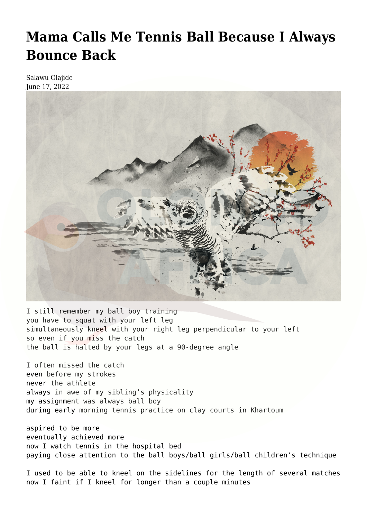## **[Mama Calls Me Tennis Ball Because I Always](https://olongoafrica.com/mama-calls-me-tennis-ball-because-i-always-bounce-back/) [Bounce Back](https://olongoafrica.com/mama-calls-me-tennis-ball-because-i-always-bounce-back/)**

Salawu Olajide June 17, 2022



I still remember my ball boy training you have to squat with your left leg simultaneously kneel with your right leg perpendicular to your left so even if you miss the catch the ball is halted by your legs at a 90-degree angle

I often missed the catch even before my strokes never the athlete always in awe of my sibling's physicality my assignment was always ball boy during early morning tennis practice on clay courts in Khartoum

aspired to be more eventually achieved more now I watch tennis in the hospital bed paying close attention to the ball boys/ball girls/ball children's technique

I used to be able to kneel on the sidelines for the length of several matches now I faint if I kneel for longer than a couple minutes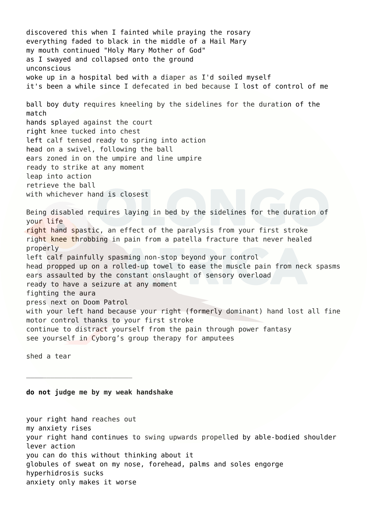discovered this when I fainted while praying the rosary everything faded to black in the middle of a Hail Mary my mouth continued "Holy Mary Mother of God" as I swayed and collapsed onto the ground unconscious woke up in a hospital bed with a diaper as I'd soiled myself it's been a while since I defecated in bed because I lost of control of me ball boy duty requires kneeling by the sidelines for the duration of the match hands splayed against the court right knee tucked into chest left calf tensed ready to spring into action head on a swivel, following the ball ears zoned in on the umpire and line umpire ready to strike at any moment leap into action retrieve the ball with whichever hand is closest Being disabled requires laying in bed by the sidelines for the duration of your life right hand spastic, an effect of the paralysis from your first stroke right knee throbbing in pain from a patella fracture that never healed properly left calf painfully spasming non-stop beyond your control head propped up on a rolled-up towel to ease the muscle pain from neck spasms ears assaulted by the constant onslaught of sensory overload ready to have a seizure at any moment fighting the aura press next on Doom Patrol with your left hand because your right (formerly dominant) hand lost all fine motor control thanks to your first stroke continue to distract yourself from the pain through power fantasy see yourself in Cyborg's group therapy for amputees

shed a tear

## **do not judge me by my weak handshake**

 $\overline{\phantom{a}}$  ,  $\overline{\phantom{a}}$  ,  $\overline{\phantom{a}}$  ,  $\overline{\phantom{a}}$  ,  $\overline{\phantom{a}}$  ,  $\overline{\phantom{a}}$  ,  $\overline{\phantom{a}}$  ,  $\overline{\phantom{a}}$  ,  $\overline{\phantom{a}}$  ,  $\overline{\phantom{a}}$  ,  $\overline{\phantom{a}}$  ,  $\overline{\phantom{a}}$  ,  $\overline{\phantom{a}}$  ,  $\overline{\phantom{a}}$  ,  $\overline{\phantom{a}}$  ,  $\overline{\phantom{a}}$ 

your right hand reaches out my anxiety rises your right hand continues to swing upwards propelled by able-bodied shoulder lever action you can do this without thinking about it globules of sweat on my nose, forehead, palms and soles engorge hyperhidrosis sucks anxiety only makes it worse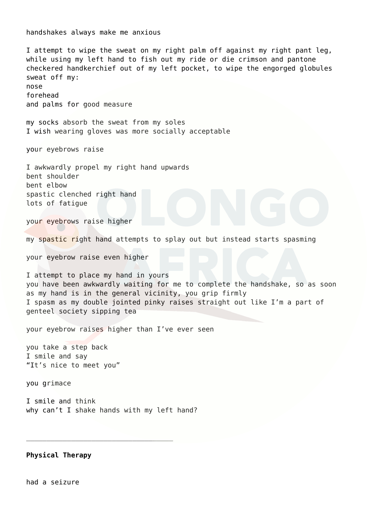handshakes always make me anxious I attempt to wipe the sweat on my right palm off against my right pant leg, while using my left hand to fish out my ride or die crimson and pantone checkered handkerchief out of my left pocket, to wipe the engorged globules sweat off my: nose forehead and palms for good measure my socks absorb the sweat from my soles I wish wearing gloves was more socially acceptable your eyebrows raise I awkwardly propel my right hand upwards bent shoulder bent elbow spastic clenched right hand lots of fatigue your eyebrows raise higher my spastic right hand attempts to splay out but instead starts spasming your eyebrow raise even higher I attempt to place my hand in yours you have been awkwardly waiting for me to complete the handshake, so as soon as my hand is in the general vicinity, you grip firmly I spasm as my double jointed pinky raises straight out like I'm a part of genteel society sipping tea your eyebrow raises higher than I've ever seen you take a step back I smile and say "It's nice to meet you" you grimace I smile and think why can't I shake hands with my left hand?  $\mathcal{L}_\text{max}$  and  $\mathcal{L}_\text{max}$  and  $\mathcal{L}_\text{max}$  and  $\mathcal{L}_\text{max}$ 

**Physical Therapy**

had a seizure